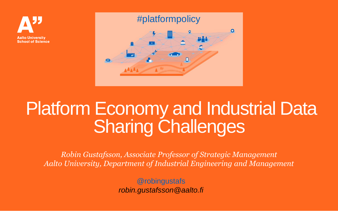



# Platform Economy and Industrial Data **Sharing Challenges**

*Robin Gustafsson, Associate Professor of Strategic Management Aalto University, Department of Industrial Engineering and Management*

> @robingustafs *robin.gustafsson@aalto.fi*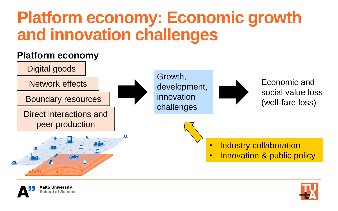## **Platform economy: Economic growth and innovation challenges**





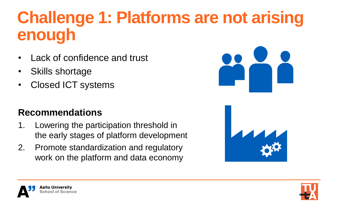# **Challenge 1: Platforms are not arising enough**

- Lack of confidence and trust
- Skills shortage
- Closed ICT systems

#### **Recommendations**

- 1. Lowering the participation threshold in the early stages of platform development
- 2. Promote standardization and regulatory work on the platform and data economy







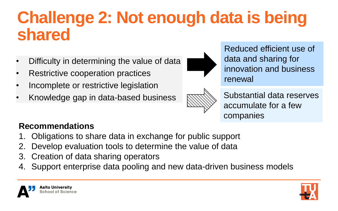### **Challenge 2: Not enough data is being shared**

- Difficulty in determining the value of data
- Restrictive cooperation practices
- Incomplete or restrictive legislation
- Knowledge gap in data-based business



Reduced efficient use of data and sharing for innovation and business renewal



Substantial data reserves accumulate for a few companies

#### **Recommendations**

- 1. Obligations to share data in exchange for public support
- 2. Develop evaluation tools to determine the value of data
- 3. Creation of data sharing operators
- 4. Support enterprise data pooling and new data-driven business models

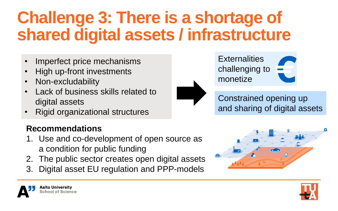# **Challenge 3: There is a shortage of shared digital assets / infrastructure**

- Imperfect price mechanisms
- High up-front investments
- Non-excludability
- Lack of business skills related to digital assets
- Rigid organizational structures

#### **Recommendations**

- 1. Use and co-development of open source as a condition for public funding
- 2. The public sector creates open digital assets
- 3. Digital asset EU regulation and PPP-models



Constrained opening up and sharing of digital assets